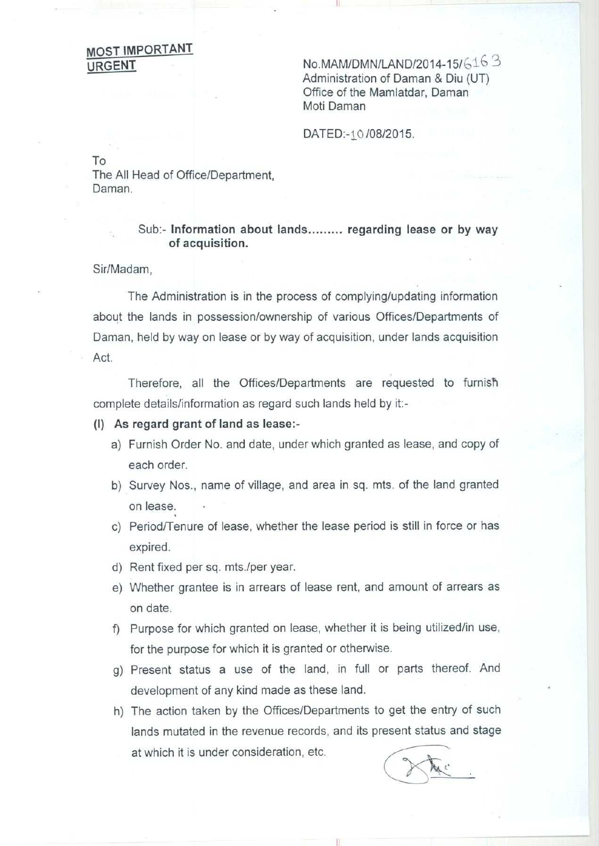## **MOST IMPORTANT**

**URGENT** No.MAM/DMN/LAND/2014-15/6163 **Administration of Daman & Diu (UT) Office of the Mamlatdar, Daman Moti Daman**

DATED:-10 /08/2015.

To

The All **Head of Office** /**Department, Daman.**

## **Sub:- Information about lands......... regarding lease or by way of acquisition.**

Sir/Madam,

The Administration **is in the process of complying** /**updating information about the lands in possession/ownership of various** Offices**/Departments of Daman** , held by way **on lease or by way of acquisition** , **under lands acquisition** Act.

Therefore, all the Offices/Departments are requested to furnish complete details/information as regard such lands held by it:-

## (I) **As regard grant of land as lease:-**

- a) Furnish Order No. and date, under which granted **as lease** , and copy of each order.
- b) Survey Nos., name of village, and area in sq. mts. of the land granted on lease.
- c) Period/Tenure of lease, whether the lease period is still in force or has expired.
- d) Rent fixed per sq. mts./per year.
- e) Whether grantee is in arrears of lease rent, and amount of arrears as on date.
- f) Purpose for which granted on lease, whether it is being utilized/in use, for the purpose for which it is granted or otherwise.
- g) Present status a use of the land, in full or parts thereof. And development of any kind made as these land.
- h) The action taken by the Offices/Departments to get the entry of such lands mutated in the revenue records, and its present status and stage at which it is under consideration, etc.